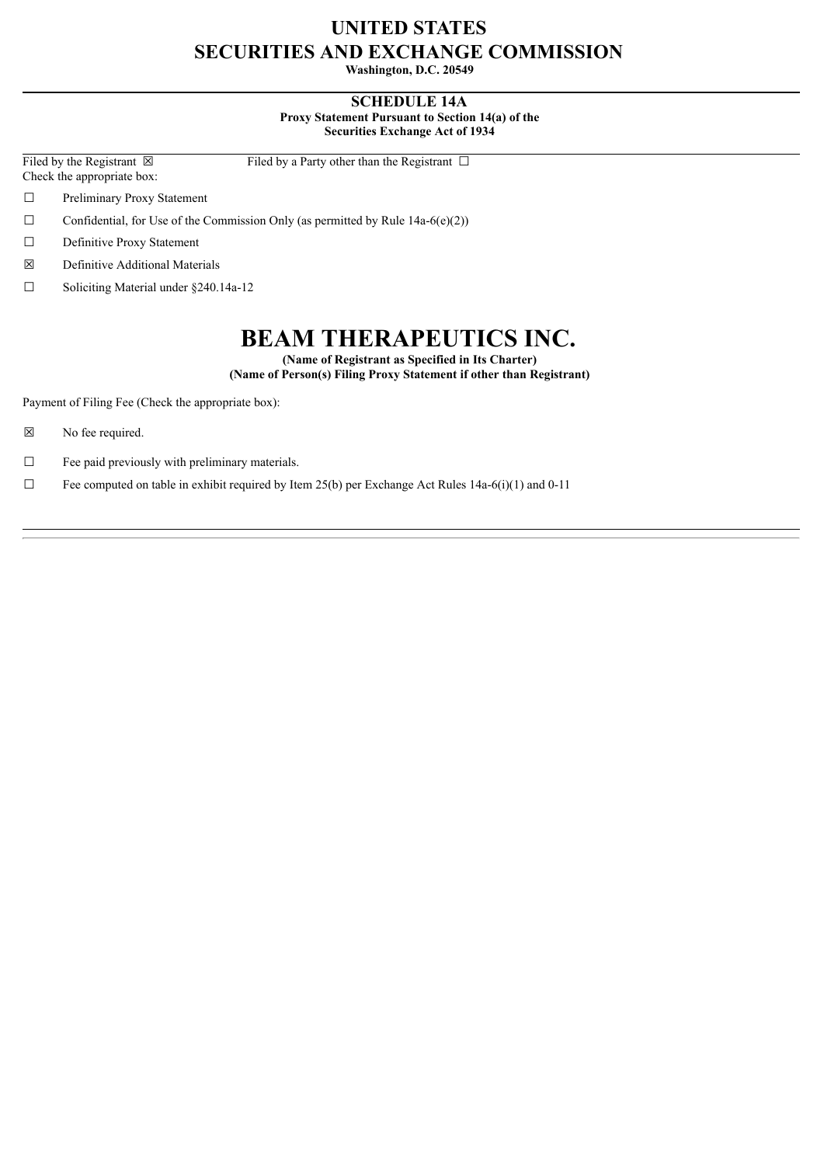## **UNITED STATES SECURITIES AND EXCHANGE COMMISSION**

**Washington, D.C. 20549**

**SCHEDULE 14A Proxy Statement Pursuant to Section 14(a) of the Securities Exchange Act of 1934**

Check the appropriate box:

Filed by the Registrant  $\boxtimes$  Filed by a Party other than the Registrant  $\Box$ 

- ☐ Preliminary Proxy Statement
- $\Box$  Confidential, for Use of the Commission Only (as permitted by Rule 14a-6(e)(2))
- ☐ Definitive Proxy Statement
- ☒ Definitive Additional Materials
- ☐ Soliciting Material under §240.14a-12

# **BEAM THERAPEUTICS INC.**

**(Name of Registrant as Specified in Its Charter) (Name of Person(s) Filing Proxy Statement if other than Registrant)**

Payment of Filing Fee (Check the appropriate box):

- ☒ No fee required.
- $\Box$  Fee paid previously with preliminary materials.
- $\Box$  Fee computed on table in exhibit required by Item 25(b) per Exchange Act Rules 14a-6(i)(1) and 0-11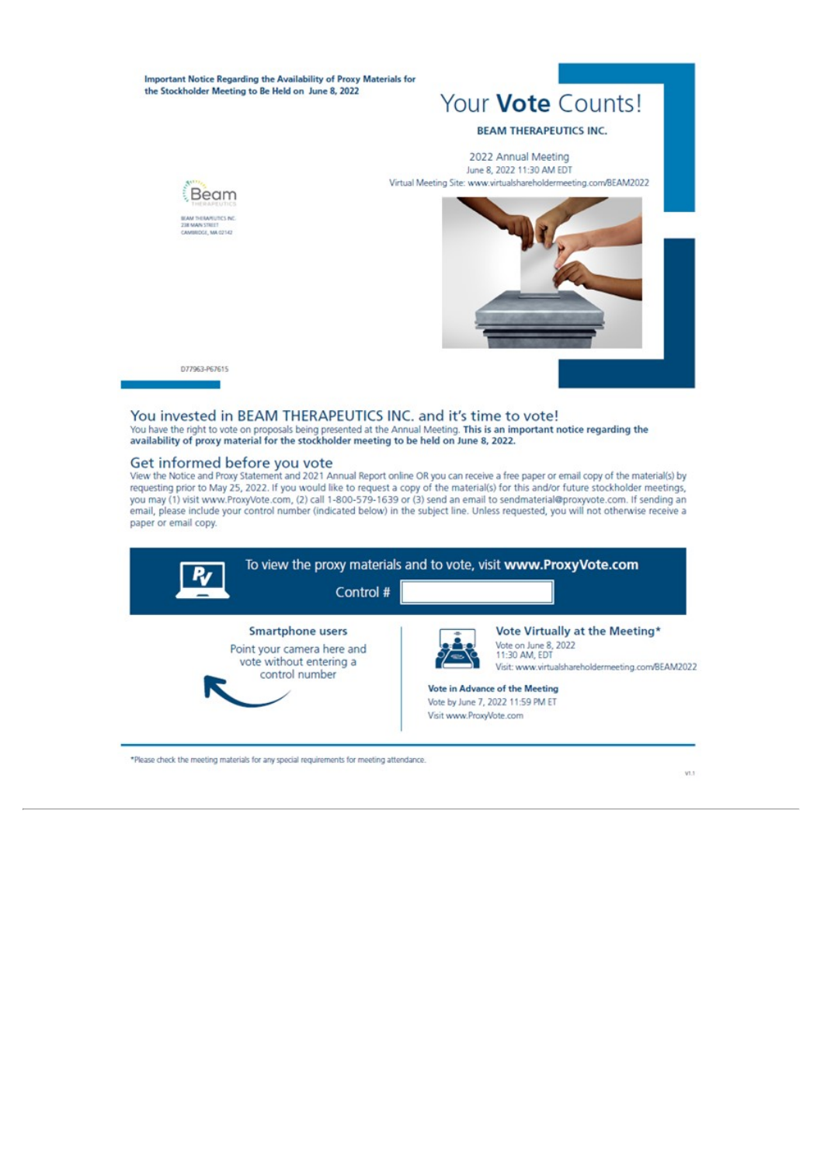Important Notice Regarding the Availability of Proxy Materials for the Stockholder Meeting to Be Held on June 8, 2022

# Your Vote Counts!

#### **BEAM THERAPEUTICS INC.**

2022 Annual Meeting June 8, 2022 11:30 AM EDT

Virtual Meeting Site: www.virtualshareholdermeeting.com/BEAM2022



D77963-P67615

#### You invested in BEAM THERAPEUTICS INC. and it's time to vote!

You have the right to vote on proposals being presented at the Annual Meeting. This is an important notice regarding the availability of proxy material for the stockholder meeting to be held on June 8, 2022.

## Get informed before you vote

View the Notice and Proxy Statement and 2021 Annual Report online OR you can receive a free paper or email copy of the material(s) by requesting prior to May 25, 2022. If you would like to request a copy of the material(s) you may (1) visit www.ProxyVote.com, (2) call 1-800-579-1639 or (3) send an email to sendmaterial@proxyvote.com. If sending an email, please include your control number (indicated below) in the subject line. Unless requested, you will not otherwise receive a paper or email copy.



\*Please check the meeting materials for any special requirements for meeting attendance.